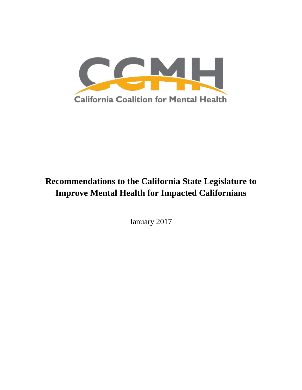

# **Recommendations to the California State Legislature to Improve Mental Health for Impacted Californians**

January 2017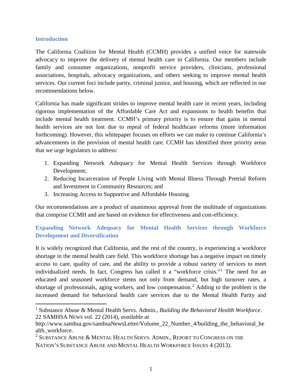#### **Introduction**

The California Coalition for Mental Health (CCMH) provides a unified voice for statewide advocacy to improve the delivery of mental health care in California. Our members include family and consumer organizations, nonprofit service providers, clinicians, professional associations, hospitals, advocacy organizations, and others seeking to improve mental health services. Our current foci include parity, criminal justice, and housing, which are reflected in our recommendations below.

California has made significant strides to improve mental health care in recent years, including rigorous implementation of the Affordable Care Act and expansions to health benefits that include mental health treatment. CCMH's primary priority is to ensure that gains in mental health services are not lost due to repeal of federal healthcare reforms (more information forthcoming). However, this whitepaper focuses on efforts we can make to continue California's advancements in the provision of mental health care. CCMH has identified three priority areas that we urge legislators to address:

- 1. Expanding Network Adequacy for Mental Health Services through Workforce Development;
- 2. Reducing Incarceration of People Living with Mental Illness Through Pretrial Reform and Investment in Community Resources; and
- 3. Increasing Access to Supportive and Affordable Housing.

Our recommendations are a product of unanimous approval from the multitude of organizations that comprise CCMH and are based on evidence for effectiveness and cost-efficiency.

## **Expanding Network Adequacy for Mental Health Services through Workforce Development and Diversification**

It is widely recognized that California, and the rest of the country, is experiencing a workforce shortage in the mental health care field. This workforce shortage has a negative impact on timely access to care, quality of care, and the ability to provide a robust variety of services to meet individualized needs. In fact, Congress has called it a "workforce crisis."[1](#page-1-0) The need for an educated and seasoned workforce stems not only from demand, but high turnover rates, a shortage of professionals, aging workers, and low compensation.<sup>[2](#page-1-1)</sup> Adding to the problem is the increased demand for behavioral health care services due to the Mental Health Parity and

<span id="page-1-0"></span> <sup>1</sup> Substance Abuse & Mental Health Servs. Admin., *Building the Behavioral Health Workforce*. 22 SAMHSA NEWS vol. 22 (2014), *available at*

http://www.samhsa.gov/samhsaNewsLetter/Volume\_22\_Number\_4/building\_the\_behavioral\_he alth\_workforce.

<span id="page-1-1"></span><sup>&</sup>lt;sup>2</sup> SUBSTANCE ABUSE  $\&$  MENTAL HEALTH SERVS. ADMIN., REPORT TO CONGRESS ON THE NATION'S SUBSTANCE ABUSE AND MENTAL HEALTH WORKFORCE ISSUES 4 (2013).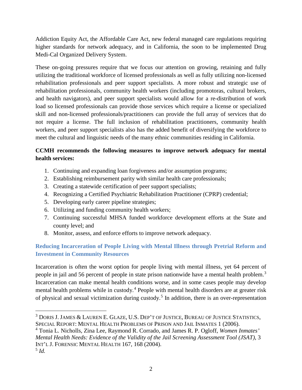Addiction Equity Act, the Affordable Care Act, new federal managed care regulations requiring higher standards for network adequacy, and in California, the soon to be implemented Drug Medi-Cal Organized Delivery System.

These on-going pressures require that we focus our attention on growing, retaining and fully utilizing the traditional workforce of licensed professionals as well as fully utilizing non-licensed rehabilitation professionals and peer support specialists. A more robust and strategic use of rehabilitation professionals, community health workers (including promotoras, cultural brokers, and health navigators), and peer support specialists would allow for a re-distribution of work load so licensed professionals can provide those services which require a license or specialized skill and non-licensed professionals/practitioners can provide the full array of services that do not require a license. The full inclusion of rehabilitation practitioners, community health workers, and peer support specialists also has the added benefit of diversifying the workforce to meet the cultural and linguistic needs of the many ethnic communities residing in California.

# **CCMH recommends the following measures to improve network adequacy for mental health services:**

- 1. Continuing and expanding loan forgiveness and/or assumption programs;
- 2. Establishing reimbursement parity with similar health care professionals;
- 3. Creating a statewide certification of peer support specialists;
- 4. Recognizing a Certified Psychiatric Rehabilitation Practitioner (CPRP) credential;
- 5. Developing early career pipeline strategies;
- 6. Utilizing and funding community health workers;
- 7. Continuing successful MHSA funded workforce development efforts at the State and county level; and
- 8. Monitor, assess, and enforce efforts to improve network adequacy.

## **Reducing Incarceration of People Living with Mental Illness through Pretrial Reform and Investment in Community Resources**

Incarceration is often the worst option for people living with mental illness, yet 64 percent of people in jail and 56 percent of people in state prison nationwide have a mental health problem.<sup>[3](#page-2-0)</sup> Incarceration can make mental health conditions worse, and in some cases people may develop mental health problems while in custody.<sup>[4](#page-2-1)</sup> People with mental health disorders are at greater risk of physical and sexual victimization during custody.[5](#page-2-2) In addition, there is an over-representation

<span id="page-2-0"></span> <sup>3</sup> DORIS J.JAMES & LAUREN E. GLAZE, U.S. DEP'T OF JUSTICE, BUREAU OF JUSTICE STATISTICS, SPECIAL REPORT: MENTAL HEALTH PROBLEMS OF PRISON AND JAIL INMATES 1 (2006).

<span id="page-2-1"></span><sup>4</sup> Tonia L. Nicholls, Zina Lee, Raymond R. Corrado, and James R. P. Ogloff, *Women Inmates' Mental Health Needs: Evidence of the Validity of the Jail Screening Assessment Tool (JSAT)*, 3 INT'L J. FORENSIC MENTAL HEALTH 167, 168 (2004).

<span id="page-2-2"></span><sup>5</sup> *Id.*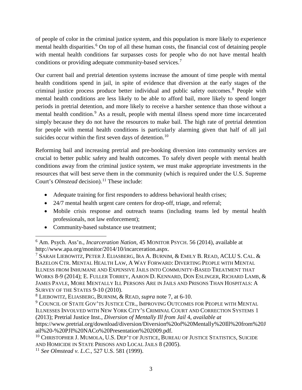of people of color in the criminal justice system, and this population is more likely to experience mental health disparities.<sup>[6](#page-3-1)</sup> On top of all these human costs, the financial cost of detaining people with mental health conditions far surpasses costs for people who do not have mental health conditions or providing adequate community-based services.[7](#page-3-2)

<span id="page-3-0"></span>Our current bail and pretrial detention systems increase the amount of time people with mental health conditions spend in jail, in spite of evidence that diversion at the early stages of the criminal justice process produce better individual and public safety outcomes.<sup>[8](#page-3-3)</sup> People with mental health conditions are less likely to be able to afford bail, more likely to spend longer periods in pretrial detention, and more likely to receive a harsher sentence than those without a mental health condition.<sup>[9](#page-3-4)</sup> As a result, people with mental illness spend more time incarcerated simply because they do not have the resources to make bail. The high rate of pretrial detention for people with mental health conditions is particularly alarming given that half of all jail suicides occur within the first seven days of detention.<sup>[10](#page-3-5)</sup>

Reforming bail and increasing pretrial and pre-booking diversion into community services are crucial to better public safety and health outcomes. To safely divert people with mental health conditions away from the criminal justice system, we must make appropriate investments in the resources that will best serve them in the community (which is required under the U.S. Supreme Court's *Olmstead* decision).<sup>[11](#page-3-6)</sup> These include:

- Adequate training for first responders to address behavioral health crises;
- 24/7 mental health urgent care centers for drop-off, triage, and referral;
- Mobile crisis response and outreach teams (including teams led by mental health professionals, not law enforcement);
- Community-based substance use treatment;

<span id="page-3-1"></span> <sup>6</sup> Am. Psych. Ass'n., *Incarceration Nation*, 45 MONITOR PSYCH. 56 (2014), available at http://www.apa.org/monitor/2014/10/incarceration.aspx.

<span id="page-3-2"></span><sup>&</sup>lt;sup>7</sup> SARAH LIEBOWITZ, PETER J. ELIASBERG, IRA A. BURNIM,  $\&$  EMILY B. READ, ACLU S. Cal.  $\&$ BAZELON CTR. MENTAL HEALTH LAW, A WAY FORWARD: DIVERTING PEOPLE WITH MENTAL ILLNESS FROM INHUMANE AND EXPENSIVE JAILS INTO COMMUNITY-BASED TREATMENT THAT WORKS 8-9 (2014); E. FULLER TORREY, AARON D. KENNARD, DON ESLINGER, RICHARD LAMB, & JAMES PAVLE, MORE MENTALLY ILL PERSONS ARE IN JAILS AND PRISONS THAN HOSPITALS: A SURVEY OF THE STATES 9-10 (2010).

<span id="page-3-3"></span><sup>8</sup> LIEBOWITZ, ELIASBERG, BURNIM, & READ, *supra* note [7,](#page-3-0) at 6-10.

<span id="page-3-4"></span><sup>&</sup>lt;sup>9</sup> COUNCIL OF STATE GOV'TS JUSTICE CTR., IMPROVING OUTCOMES FOR PEOPLE WITH MENTAL ILLNESSES INVOLVED WITH NEW YORK CITY'S CRIMINAL COURT AND CORRECTION SYSTEMS 1 (2013); Pretrial Justice Inst., *Diversion of Mentally Ill from Jail* 4, *available at* 

https://www.pretrial.org/download/diversion/Diversion%20of%20Mentally%20Ill%20from%20J ail%20-%20PJI%20NACo%20Presentation%202009.pdf.

<span id="page-3-5"></span><sup>&</sup>lt;sup>10</sup> CHRISTOPHER J. MUMOLA, U.S. DEP'T OF JUSTICE, BUREAU OF JUSTICE STATISTICS, SUICIDE AND HOMICIDE IN STATE PRISONS AND LOCAL JAILS 8 (2005).

<span id="page-3-6"></span><sup>11</sup> *See Olmstead v. L.C.*, 527 U.S. 581 (1999).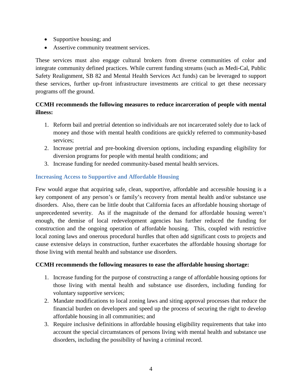- Supportive housing; and
- Assertive community treatment services.

These services must also engage cultural brokers from diverse communities of color and integrate community defined practices. While current funding streams (such as Medi-Cal, Public Safety Realignment, SB 82 and Mental Health Services Act funds) can be leveraged to support these services, further up-front infrastructure investments are critical to get these necessary programs off the ground.

### **CCMH recommends the following measures to reduce incarceration of people with mental illness:**

- 1. Reform bail and pretrial detention so individuals are not incarcerated solely due to lack of money and those with mental health conditions are quickly referred to community-based services;
- 2. Increase pretrial and pre-booking diversion options, including expanding eligibility for diversion programs for people with mental health conditions; and
- 3. Increase funding for needed community-based mental health services.

### **Increasing Access to Supportive and Affordable Housing**

Few would argue that acquiring safe, clean, supportive, affordable and accessible housing is a key component of any person's or family's recovery from mental health and/or substance use disorders. Also, there can be little doubt that California faces an affordable housing shortage of unprecedented severity. As if the magnitude of the demand for affordable housing weren't enough, the demise of local redevelopment agencies has further reduced the funding for construction and the ongoing operation of affordable housing. This, coupled with restrictive local zoning laws and onerous procedural hurdles that often add significant costs to projects and cause extensive delays in construction, further exacerbates the affordable housing shortage for those living with mental health and substance use disorders.

#### **CCMH recommends the following measures to ease the affordable housing shortage:**

- 1. Increase funding for the purpose of constructing a range of affordable housing options for those living with mental health and substance use disorders, including funding for voluntary supportive services;
- 2. Mandate modifications to local zoning laws and siting approval processes that reduce the financial burden on developers and speed up the process of securing the right to develop affordable housing in all communities; and
- 3. Require inclusive definitions in affordable housing eligibility requirements that take into account the special circumstances of persons living with mental health and substance use disorders, including the possibility of having a criminal record.